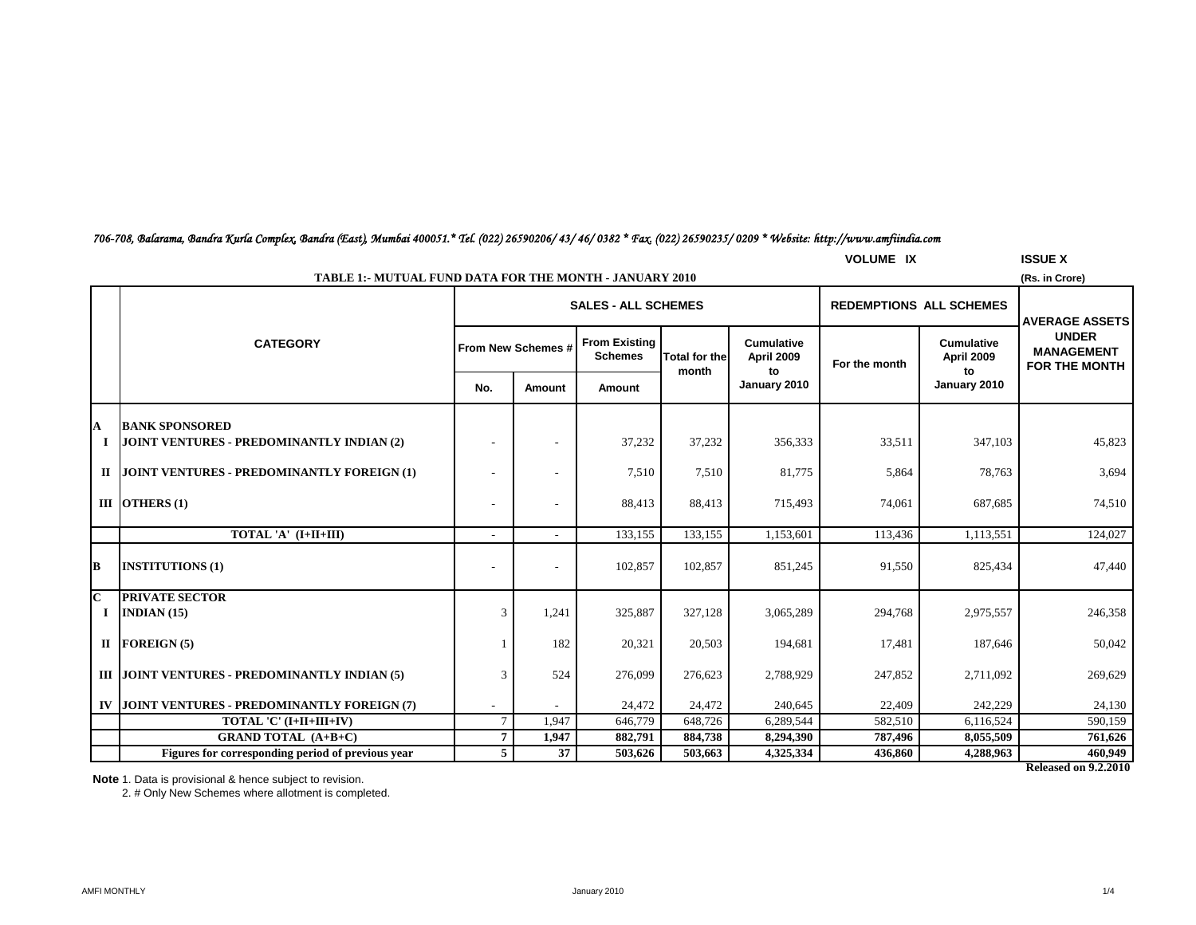# *706-708, Balarama, Bandra Kurla Complex, Bandra (East), Mumbai 400051.\* Tel. (022) 26590206/ 43/ 46/ 0382 \* Fax. (022) 26590235/ 0209 \* Website: http://www.amfiindia.com*

|                              | <b>VOLUME IX</b><br><b>ISSUE X</b>                                               |                          |                            |                                        |                      |                                 |               |                                 |                                                                             |  |  |
|------------------------------|----------------------------------------------------------------------------------|--------------------------|----------------------------|----------------------------------------|----------------------|---------------------------------|---------------|---------------------------------|-----------------------------------------------------------------------------|--|--|
|                              | <b>TABLE 1:- MUTUAL FUND DATA FOR THE MONTH - JANUARY 2010</b><br>(Rs. in Crore) |                          |                            |                                        |                      |                                 |               |                                 |                                                                             |  |  |
|                              |                                                                                  |                          | <b>SALES - ALL SCHEMES</b> |                                        |                      |                                 |               | <b>REDEMPTIONS ALL SCHEMES</b>  |                                                                             |  |  |
|                              | <b>CATEGORY</b>                                                                  |                          | From New Schemes #         | <b>From Existing</b><br><b>Schemes</b> | <b>Total for the</b> | <b>Cumulative</b><br>April 2009 | For the month | <b>Cumulative</b><br>April 2009 | <b>AVERAGE ASSETS</b><br><b>UNDER</b><br><b>MANAGEMENT</b><br>FOR THE MONTH |  |  |
|                              |                                                                                  | No.                      | Amount                     | Amount                                 | month                | to<br>January 2010              |               | to<br>January 2010              |                                                                             |  |  |
|                              |                                                                                  |                          |                            |                                        |                      |                                 |               |                                 |                                                                             |  |  |
| $\boldsymbol{\Lambda}$<br>п. | <b>BANK SPONSORED</b><br>JOINT VENTURES - PREDOMINANTLY INDIAN (2)               |                          |                            | 37,232                                 | 37,232               | 356,333                         | 33,511        | 347,103                         | 45,823                                                                      |  |  |
|                              | II JOINT VENTURES - PREDOMINANTLY FOREIGN (1)                                    |                          |                            | 7,510                                  | 7,510                | 81,775                          | 5,864         | 78,763                          | 3,694                                                                       |  |  |
|                              | III OTHERS $(1)$                                                                 |                          |                            | 88,413                                 | 88,413               | 715,493                         | 74,061        | 687,685                         | 74,510                                                                      |  |  |
|                              | TOTAL 'A' (I+II+III)                                                             | $\overline{\phantom{a}}$ |                            | 133,155                                | 133,155              | 1,153,601                       | 113,436       | 1,113,551                       | 124,027                                                                     |  |  |
| B                            | <b>INSTITUTIONS (1)</b>                                                          |                          |                            | 102,857                                | 102,857              | 851,245                         | 91,550        | 825,434                         | 47,440                                                                      |  |  |
| $\overline{\mathbf{C}}$      | <b>PRIVATE SECTOR</b>                                                            |                          |                            |                                        |                      |                                 |               |                                 |                                                                             |  |  |
|                              | $I$ INDIAN (15)                                                                  | 3                        | 1,241                      | 325,887                                | 327,128              | 3,065,289                       | 294,768       | 2,975,557                       | 246,358                                                                     |  |  |
|                              | $II$ FOREIGN (5)                                                                 |                          | 182                        | 20,321                                 | 20,503               | 194,681                         | 17,481        | 187,646                         | 50,042                                                                      |  |  |
|                              | III JOINT VENTURES - PREDOMINANTLY INDIAN (5)                                    | 3                        | 524                        | 276,099                                | 276,623              | 2,788,929                       | 247,852       | 2,711,092                       | 269,629                                                                     |  |  |
|                              | IV JOINT VENTURES - PREDOMINANTLY FOREIGN (7)                                    |                          |                            | 24,472                                 | 24,472               | 240,645                         | 22,409        | 242,229                         | 24,130                                                                      |  |  |
|                              | TOTAL 'C' (I+II+III+IV)                                                          | $7\phantom{.0}$          | 1,947                      | 646,779                                | 648,726              | 6,289,544                       | 582,510       | 6,116,524                       | 590,159                                                                     |  |  |
|                              | <b>GRAND TOTAL (A+B+C)</b>                                                       | $\overline{7}$           | 1,947                      | 882,791                                | 884,738              | 8,294,390                       | 787,496       | 8,055,509                       | 761,626                                                                     |  |  |
|                              | Figures for corresponding period of previous year                                | 5                        | 37                         | 503,626                                | 503,663              | 4,325,334                       | 436,860       | 4,288,963                       | 460,949                                                                     |  |  |

**Released on 9.2.2010**

**Note** 1. Data is provisional & hence subject to revision.

2. # Only New Schemes where allotment is completed.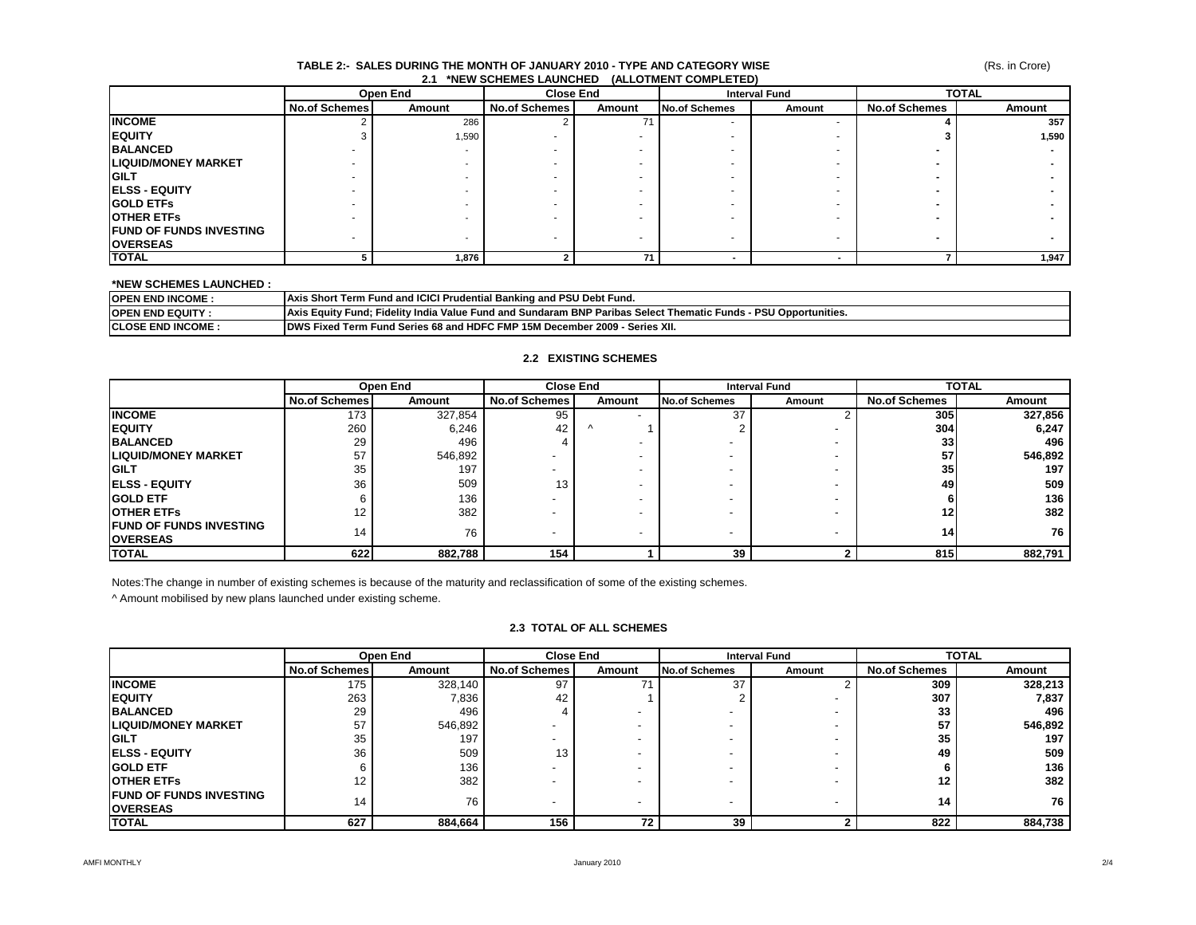#### **TABLE 2:- SALES DURING THE MONTH OF JANUARY 2010 - TYPE AND CATEGORY WISE 2.1 \*NEW SCHEMES LAUNCHED (ALLOTMENT COMPLETED)**

|                                 | Open End             |        |                      | <b>Close End</b> |                      | <b>Interval Fund</b> |                      | <b>TOTAL</b> |  |
|---------------------------------|----------------------|--------|----------------------|------------------|----------------------|----------------------|----------------------|--------------|--|
|                                 | <b>No.of Schemes</b> | Amount | <b>No.of Schemes</b> | Amount           | <b>No.of Schemes</b> | Amount               | <b>No.of Schemes</b> | Amount       |  |
| <b>INCOME</b>                   |                      | 286    |                      |                  |                      |                      |                      | 357          |  |
| <b>IEQUITY</b>                  |                      | 1,590  |                      |                  |                      |                      |                      | 1,590        |  |
| <b>BALANCED</b>                 |                      | -      |                      |                  |                      |                      |                      | . .          |  |
| <b>LIQUID/MONEY MARKET</b>      | ۰                    |        |                      |                  |                      |                      |                      |              |  |
| <b>IGILT</b>                    | -                    |        |                      |                  |                      |                      |                      |              |  |
| <b>IELSS - EQUITY</b>           | ۰                    |        |                      |                  |                      |                      |                      |              |  |
| <b>IGOLD ETFS</b>               | -                    |        |                      |                  |                      |                      |                      |              |  |
| <b>IOTHER ETFS</b>              |                      |        |                      |                  |                      |                      |                      |              |  |
| <b>IFUND OF FUNDS INVESTING</b> |                      |        |                      |                  |                      |                      |                      |              |  |
| <b>OVERSEAS</b>                 |                      |        |                      |                  |                      |                      |                      | -            |  |
| <b>TOTAL</b>                    |                      | 1,876  |                      | 71               |                      |                      |                      | 1,947        |  |

### **\*NEW SCHEMES LAUNCHED :**

| <b>OPEN END INCOME:</b>   | <b>Axis Short Term Fund and ICICI Prudential Banking and PSU Debt Fund.</b>                                     |
|---------------------------|-----------------------------------------------------------------------------------------------------------------|
| <b>OPEN END EQUITY:</b>   | Axis Equity Fund: Fidelity India Value Fund and Sundaram BNP Paribas Select Thematic Funds - PSU Opportunities. |
| <b>ICLOSE END INCOME:</b> | <b>IDWS Fixed Term Fund Series 68 and HDFC FMP 15M December 2009 - Series XII.</b>                              |

## **2.2 EXISTING SCHEMES**

|                                                    | Open End             |         | <b>Close End</b>         |                          | <b>Interval Fund</b> |                          | <b>TOTAL</b>         |         |
|----------------------------------------------------|----------------------|---------|--------------------------|--------------------------|----------------------|--------------------------|----------------------|---------|
|                                                    | <b>No.of Schemes</b> | Amount  | <b>No.of Schemes</b>     | Amount                   | No.of Schemes        | Amount                   | <b>No.of Schemes</b> | Amount  |
| <b>INCOME</b>                                      | 173                  | 327,854 | 95                       |                          | 37                   |                          | <b>305</b>           | 327,856 |
| <b>IEQUITY</b>                                     | 260                  | 6,246   | 42                       | $\Lambda$                |                      |                          | 304                  | 6,247   |
| <b>BALANCED</b>                                    | 29                   | 496     |                          | $\overline{\phantom{a}}$ |                      |                          | 33 <sub>1</sub>      | 496     |
| <b>LIQUID/MONEY MARKET</b>                         | 57                   | 546,892 |                          |                          |                      |                          | 57                   | 546,892 |
| <b>IGILT</b>                                       | 35                   | 197     |                          |                          |                      |                          | 35 <sub>1</sub>      | 197     |
| <b>IELSS - EQUITY</b>                              | 36                   | 509     | 13                       |                          |                      |                          | 49                   | 509     |
| <b>IGOLD ETF</b>                                   |                      | 136     |                          |                          |                      |                          |                      | 136     |
| <b>IOTHER ETFS</b>                                 | 12                   | 382     |                          |                          |                      |                          | 12                   | 382     |
| <b>IFUND OF FUNDS INVESTING</b><br><b>OVERSEAS</b> | 14                   | 76      | $\overline{\phantom{a}}$ | $\overline{\phantom{a}}$ |                      | $\overline{\phantom{a}}$ | 14                   | 76 I    |
| <b>TOTAL</b>                                       | 622                  | 882,788 | 154                      |                          | 39                   |                          | 815                  | 882,791 |

Notes:The change in number of existing schemes is because of the maturity and reclassification of some of the existing schemes.

^ Amount mobilised by new plans launched under existing scheme.

## **2.3 TOTAL OF ALL SCHEMES**

|                                                    | Open End             |         | <b>Close End</b>     |        | <b>Interval Fund</b>     |        | <b>TOTAL</b>         |         |
|----------------------------------------------------|----------------------|---------|----------------------|--------|--------------------------|--------|----------------------|---------|
|                                                    | <b>No.of Schemes</b> | Amount  | <b>No.of Schemes</b> | Amount | <b>No.of Schemes</b>     | Amount | <b>No.of Schemes</b> | Amount  |
| <b>INCOME</b>                                      | 175                  | 328,140 | 97                   |        | 37                       |        | 309                  | 328,213 |
| <b>IEQUITY</b>                                     | 263                  | 7,836   | 42                   |        |                          |        | 307                  | 7,837   |
| <b>BALANCED</b>                                    | 29                   | 496     |                      |        |                          |        | 33                   | 496     |
| <b>LIQUID/MONEY MARKET</b>                         | 57                   | 546,892 |                      |        |                          |        | 57                   | 546,892 |
| <b>IGILT</b>                                       | 35                   | 197     |                      |        |                          |        | 35                   | 197     |
| <b>IELSS - EQUITY</b>                              | 36                   | 509     | 13                   |        |                          |        | 49                   | 509     |
| <b>IGOLD ETF</b>                                   |                      | 136     |                      |        |                          |        |                      | 136     |
| <b>OTHER ETFS</b>                                  | 12                   | 382     |                      |        |                          |        | 12                   | 382     |
| <b>IFUND OF FUNDS INVESTING</b><br><b>OVERSEAS</b> | 14                   | 76      |                      |        | $\overline{\phantom{0}}$ |        | 14                   | 76      |
| <b>TOTAL</b>                                       | 627                  | 884,664 | 156                  | 72     | 39                       |        | 822                  | 884,738 |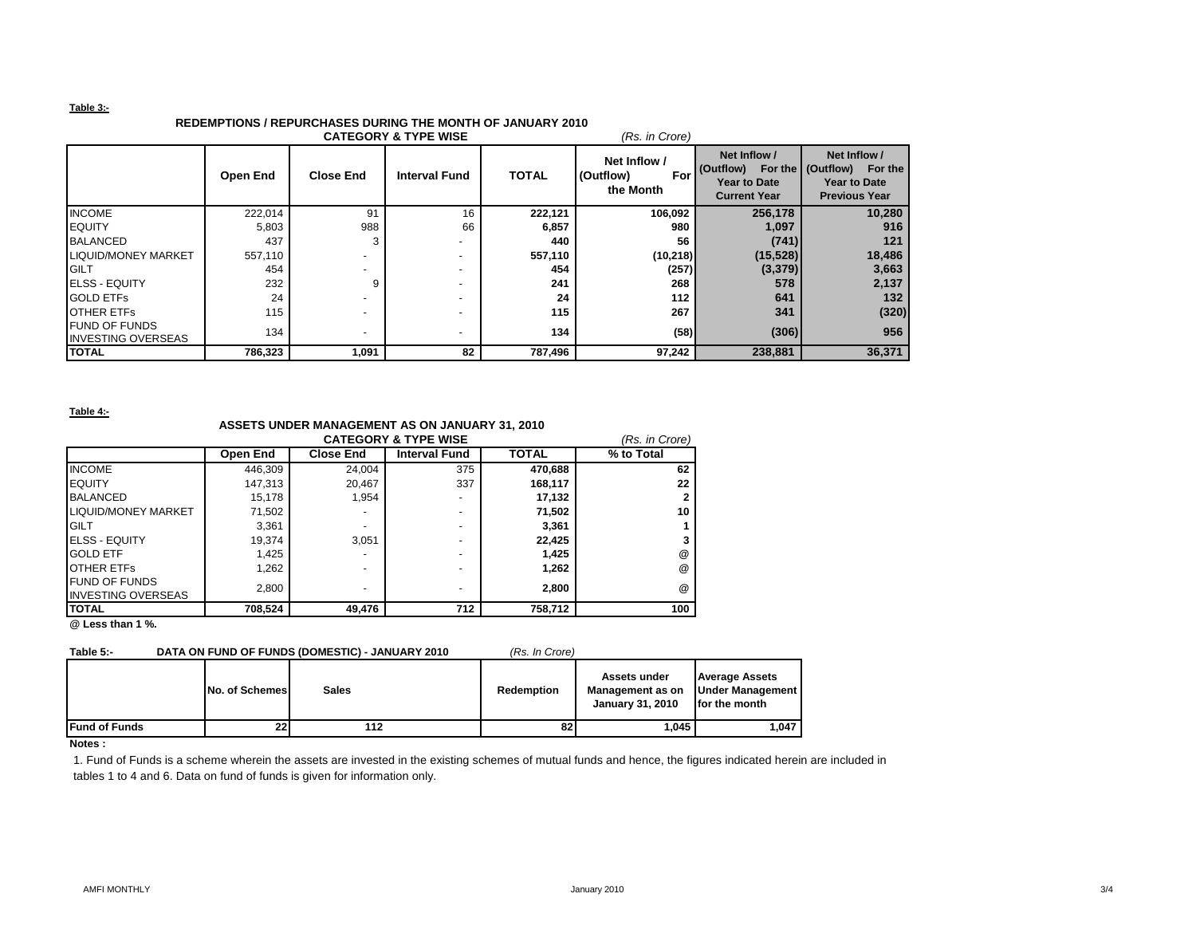### **Table 3:-**

# **REDEMPTIONS / REPURCHASES DURING THE MONTH OF JANUARY 2010**

| <b>CATEGORY &amp; TYPE WISE</b><br>(Rs. in Crore) |                 |                          |                      |              |                                               |                                                                         |                                                                                             |  |  |
|---------------------------------------------------|-----------------|--------------------------|----------------------|--------------|-----------------------------------------------|-------------------------------------------------------------------------|---------------------------------------------------------------------------------------------|--|--|
|                                                   | <b>Open End</b> | <b>Close End</b>         | <b>Interval Fund</b> | <b>TOTAL</b> | Net Inflow /<br>(Outflow)<br>For<br>the Month | Net Inflow /<br>(Outflow)<br><b>Year to Date</b><br><b>Current Year</b> | Net Inflow /<br>For the (Outflow)<br>For the<br><b>Year to Date</b><br><b>Previous Year</b> |  |  |
| <b>INCOME</b>                                     | 222,014         | 91                       | 16                   | 222,121      | 106,092                                       | 256,178                                                                 | 10,280                                                                                      |  |  |
| <b>IEQUITY</b>                                    | 5,803           | 988                      | 66                   | 6,857        | 980                                           | 1,097                                                                   | 916                                                                                         |  |  |
| <b>BALANCED</b>                                   | 437             |                          |                      | 440          | 56                                            | (741)                                                                   | 121                                                                                         |  |  |
| <b>LIQUID/MONEY MARKET</b>                        | 557,110         |                          |                      | 557,110      | (10,218)                                      | (15, 528)                                                               | 18,486                                                                                      |  |  |
| <b>GILT</b>                                       | 454             | $\overline{\phantom{0}}$ |                      | 454          | (257)                                         | (3, 379)                                                                | 3,663                                                                                       |  |  |
| <b>IELSS - EQUITY</b>                             | 232             | 9                        |                      | 241          | 268                                           | 578                                                                     | 2,137                                                                                       |  |  |
| <b>GOLD ETFS</b>                                  | 24              |                          |                      | 24           | 112                                           | 641                                                                     | 132                                                                                         |  |  |
| <b>OTHER ETFS</b>                                 | 115             | $\overline{\phantom{0}}$ |                      | 115          | 267                                           | 341                                                                     | (320)                                                                                       |  |  |
| <b>FUND OF FUNDS</b><br><b>INVESTING OVERSEAS</b> | 134             | ٠                        |                      | 134          | (58)                                          | (306)                                                                   | 956                                                                                         |  |  |
| <b>TOTAL</b>                                      | 786,323         | 1,091                    | 82                   | 787,496      | 97,242                                        | 238,881                                                                 | 36,371                                                                                      |  |  |

**Table 4:-**

# **ASSETS UNDER MANAGEMENT AS ON JANUARY 31, 2010**

| <b>CATEGORY &amp; TYPE WISE</b><br>(Rs. in Crore) |          |                  |                      |              |                      |  |  |
|---------------------------------------------------|----------|------------------|----------------------|--------------|----------------------|--|--|
|                                                   | Open End | <b>Close End</b> | <b>Interval Fund</b> | <b>TOTAL</b> | % to Total           |  |  |
| <b>INCOME</b>                                     | 446.309  | 24.004           | 375                  | 470.688      | 62                   |  |  |
| <b>EQUITY</b>                                     | 147,313  | 20.467           | 337                  | 168,117      | 22                   |  |  |
| <b>BALANCED</b>                                   | 15,178   | 1.954            | ۰                    | 17,132       |                      |  |  |
| LIQUID/MONEY MARKET                               | 71,502   |                  | -                    | 71,502       | 10                   |  |  |
| <b>GILT</b>                                       | 3.361    |                  | ۰                    | 3,361        |                      |  |  |
| <b>ELSS - EQUITY</b>                              | 19.374   | 3.051            | ۰                    | 22.425       |                      |  |  |
| <b>GOLD ETF</b>                                   | 1,425    |                  | ۰                    | 1,425        | @                    |  |  |
| <b>OTHER ETFS</b>                                 | 1.262    |                  | -                    | 1,262        | $^{\textregistered}$ |  |  |
| <b>FUND OF FUNDS</b>                              | 2.800    |                  | -                    | 2.800        | $^{\textregistered}$ |  |  |
| <b>INVESTING OVERSEAS</b>                         |          |                  |                      |              |                      |  |  |
| <b>ITOTAL</b>                                     | 708,524  | 49,476           | 712                  | 758,712      | 100                  |  |  |

**@ Less than 1 %.**

# **Table 5:- DATA ON FUND OF FUNDS (DOMESTIC) - JANUARY 2010** *(Rs. In Crore)*

| ZUIU | 155. III UIU |
|------|--------------|
|      |              |

|                       | No. of Schemes | Sales | <b>Redemption</b> | Assets under<br>Management as on<br><b>January 31, 2010</b> | <b>Average Assets</b><br><b>Under Management  </b><br>for the month |
|-----------------------|----------------|-------|-------------------|-------------------------------------------------------------|---------------------------------------------------------------------|
| <b>IFund of Funds</b> | 22             | 112   | 82                | 1,045                                                       | 1,047                                                               |
| <b>ALCOHOL:</b>       |                |       |                   |                                                             |                                                                     |

#### **Notes :**

1. Fund of Funds is a scheme wherein the assets are invested in the existing schemes of mutual funds and hence, the figures indicated herein are included in tables 1 to 4 and 6. Data on fund of funds is given for information only.